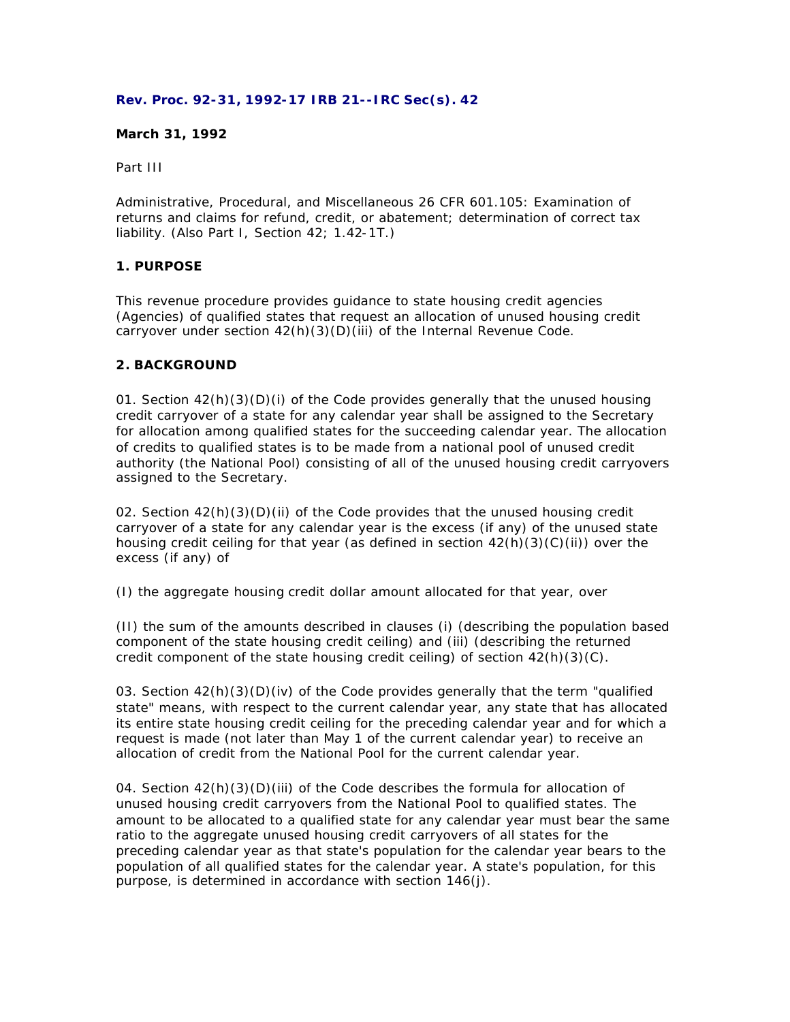### **Rev. Proc. 92-31, 1992-17 IRB 21--IRC Sec(s). 42**

### **March 31, 1992**

Part III

Administrative, Procedural, and Miscellaneous 26 CFR 601.105: Examination of returns and claims for refund, credit, or abatement; determination of correct tax liability. (Also Part I, Section 42; 1.42-1T.)

# **1. PURPOSE**

This revenue procedure provides guidance to state housing credit agencies (Agencies) of qualified states that request an allocation of unused housing credit carryover under section 42(h)(3)(D)(iii) of the Internal Revenue Code.

### **2. BACKGROUND**

01. Section  $42(h)(3)(D)(i)$  of the Code provides generally that the unused housing credit carryover of a state for any calendar year shall be assigned to the Secretary for allocation among qualified states for the succeeding calendar year. The allocation of credits to qualified states is to be made from a national pool of unused credit authority (the National Pool) consisting of all of the unused housing credit carryovers assigned to the Secretary.

02. Section 42(h)(3)(D)(ii) of the Code provides that the unused housing credit carryover of a state for any calendar year is the excess (if any) of the unused state housing credit ceiling for that year (as defined in section  $42(h)(3)(C)(ii)$ ) over the excess (if any) of

(I) the aggregate housing credit dollar amount allocated for that year, over

(II) the sum of the amounts described in clauses (i) (describing the population based component of the state housing credit ceiling) and (iii) (describing the returned credit component of the state housing credit ceiling) of section  $42(h)(3)(C)$ .

03. Section  $42(h)(3)(D)(iv)$  of the Code provides generally that the term "qualified state" means, with respect to the current calendar year, any state that has allocated its entire state housing credit ceiling for the preceding calendar year and for which a request is made (not later than May 1 of the current calendar year) to receive an allocation of credit from the National Pool for the current calendar year.

04. Section 42(h)(3)(D)(iii) of the Code describes the formula for allocation of unused housing credit carryovers from the National Pool to qualified states. The amount to be allocated to a qualified state for any calendar year must bear the same ratio to the aggregate unused housing credit carryovers of all states for the preceding calendar year as that state's population for the calendar year bears to the population of all qualified states for the calendar year. A state's population, for this purpose, is determined in accordance with section 146(j).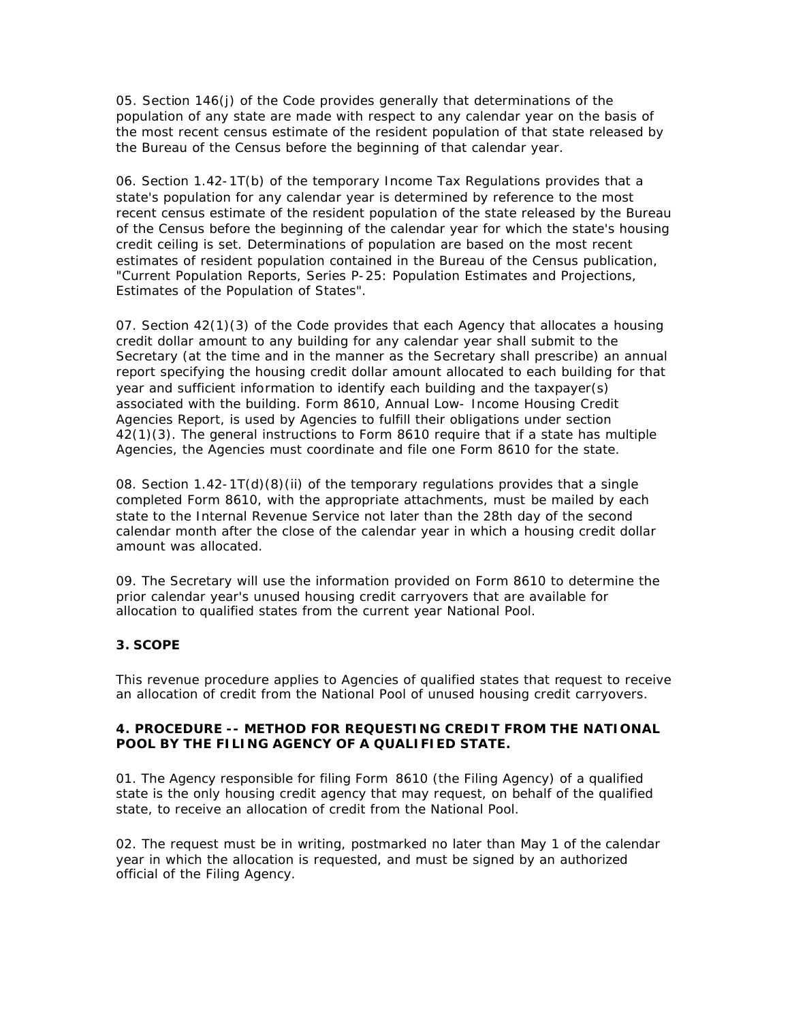05. Section 146(j) of the Code provides generally that determinations of the population of any state are made with respect to any calendar year on the basis of the most recent census estimate of the resident population of that state released by the Bureau of the Census before the beginning of that calendar year.

06. Section 1.42-1T(b) of the temporary Income Tax Regulations provides that a state's population for any calendar year is determined by reference to the most recent census estimate of the resident population of the state released by the Bureau of the Census before the beginning of the calendar year for which the state's housing credit ceiling is set. Determinations of population are based on the most recent estimates of resident population contained in the Bureau of the Census publication, "Current Population Reports, Series P-25: Population Estimates and Projections, Estimates of the Population of States".

07. Section 42(1)(3) of the Code provides that each Agency that allocates a housing credit dollar amount to any building for any calendar year shall submit to the Secretary (at the time and in the manner as the Secretary shall prescribe) an annual report specifying the housing credit dollar amount allocated to each building for that year and sufficient information to identify each building and the taxpayer(s) associated with the building. Form 8610, Annual Low- Income Housing Credit Agencies Report, is used by Agencies to fulfill their obligations under section 42(1)(3). The general instructions to Form 8610 require that if a state has multiple Agencies, the Agencies must coordinate and file one Form 8610 for the state.

08. Section  $1.42 - 1T(d)(8)$  (ii) of the temporary regulations provides that a single completed Form 8610, with the appropriate attachments, must be mailed by each state to the Internal Revenue Service not later than the 28th day of the second calendar month after the close of the calendar year in which a housing credit dollar amount was allocated.

09. The Secretary will use the information provided on Form 8610 to determine the prior calendar year's unused housing credit carryovers that are available for allocation to qualified states from the current year National Pool.

# **3. SCOPE**

This revenue procedure applies to Agencies of qualified states that request to receive an allocation of credit from the National Pool of unused housing credit carryovers.

### **4. PROCEDURE -- METHOD FOR REQUESTING CREDIT FROM THE NATIONAL POOL BY THE FILING AGENCY OF A QUALIFIED STATE.**

01. The Agency responsible for filing Form 8610 (the Filing Agency) of a qualified state is the only housing credit agency that may request, on behalf of the qualified state, to receive an allocation of credit from the National Pool.

02. The request must be in writing, postmarked no later than May 1 of the calendar year in which the allocation is requested, and must be signed by an authorized official of the Filing Agency.